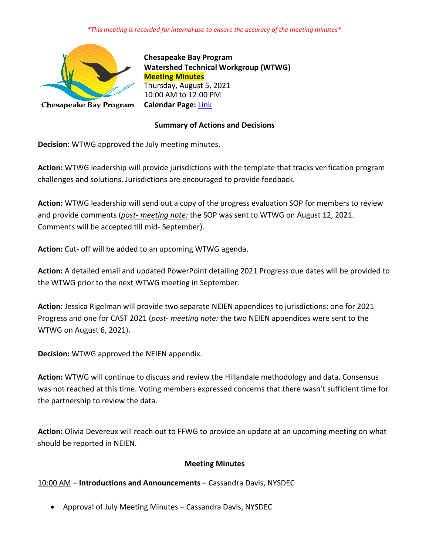#### *\*This meeting is recorded for internal use to ensure the accuracy of the meeting minutes\**



**Chesapeake Bay Program Watershed Technical Workgroup (WTWG) Meeting Minutes** Thursday, August 5, 2021 10:00 AM to 12:00 PM **Calendar Page:** [Link](https://www.chesapeakebay.net/what/event/watershed_technical_workgroup_conference_call_august_2021)

### **Summary of Actions and Decisions**

**Decision:** WTWG approved the July meeting minutes.

**Action:** WTWG leadership will provide jurisdictions with the template that tracks verification program challenges and solutions. Jurisdictions are encouraged to provide feedback.

**Action:** WTWG leadership will send out a copy of the progress evaluation SOP for members to review and provide comments (*post- meeting note:* the SOP was sent to WTWG on August 12, 2021. Comments will be accepted till mid- September).

**Action:** Cut- off will be added to an upcoming WTWG agenda.

**Action:** A detailed email and updated PowerPoint detailing 2021 Progress due dates will be provided to the WTWG prior to the next WTWG meeting in September.

**Action:** Jessica Rigelman will provide two separate NEIEN appendices to jurisdictions: one for 2021 Progress and one for CAST 2021 (*post- meeting note:* the two NEIEN appendices were sent to the WTWG on August 6, 2021).

**Decision:** WTWG approved the NEIEN appendix.

**Action:** WTWG will continue to discuss and review the Hillandale methodology and data. Consensus was not reached at this time. Voting members expressed concerns that there wasn't sufficient time for the partnership to review the data.

**Action:** Olivia Devereux will reach out to FFWG to provide an update at an upcoming meeting on what should be reported in NEIEN.

#### **Meeting Minutes**

10:00 AM – **Introductions and Announcements** – Cassandra Davis, NYSDEC

• Approval of July Meeting Minutes – Cassandra Davis, NYSDEC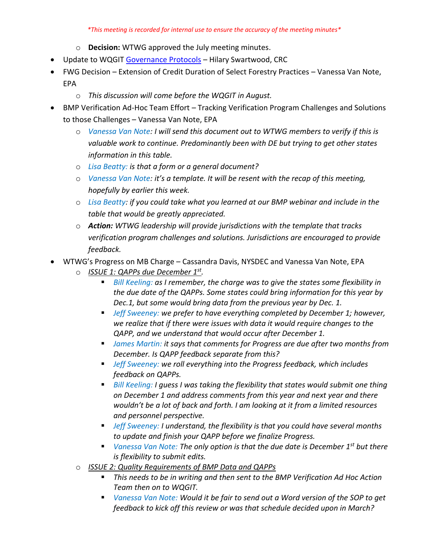#### *\*This meeting is recorded for internal use to ensure the accuracy of the meeting minutes\**

- o **Decision:** WTWG approved the July meeting minutes.
- Update to WQGI[T Governance Protocols](https://www.chesapeakebay.net/channel_files/22735/wqgit_governance_protocols__final_version_06.23.2021.pdf) Hilary Swartwood, CRC
- FWG Decision Extension of Credit Duration of Select Forestry Practices Vanessa Van Note, EPA
	- o *This discussion will come before the WQGIT in August.*
- BMP Verification Ad-Hoc Team Effort Tracking Verification Program Challenges and Solutions to those Challenges – Vanessa Van Note, EPA
	- o *Vanessa Van Note: I will send this document out to WTWG members to verify if this is valuable work to continue. Predominantly been with DE but trying to get other states information in this table.*
	- o *Lisa Beatty: is that a form or a general document?*
	- o *Vanessa Van Note: it's a template. It will be resent with the recap of this meeting, hopefully by earlier this week.*
	- o *Lisa Beatty: if you could take what you learned at our BMP webinar and include in the table that would be greatly appreciated.*
	- o *Action: WTWG leadership will provide jurisdictions with the template that tracks verification program challenges and solutions. Jurisdictions are encouraged to provide feedback.*
- WTWG's Progress on MB Charge Cassandra Davis, NYSDEC and Vanessa Van Note, EPA
	- o *ISSUE 1: QAPPs due December 1st .* 
		- *Bill Keeling: as I remember, the charge was to give the states some flexibility in the due date of the QAPPs. Some states could bring information for this year by Dec.1, but some would bring data from the previous year by Dec. 1.*
		- *Jeff Sweeney: we prefer to have everything completed by December 1; however, we realize that if there were issues with data it would require changes to the QAPP, and we understand that would occur after December 1.*
		- *James Martin: it says that comments for Progress are due after two months from December. Is QAPP feedback separate from this?*
		- Jeff Sweeney: we roll everything into the Progress feedback, which includes *feedback on QAPPs.*
		- *Bill Keeling: I guess I was taking the flexibility that states would submit one thing on December 1 and address comments from this year and next year and there wouldn't be a lot of back and forth. I am looking at it from a limited resources and personnel perspective.*
		- Jeff Sweeney: I understand, the flexibility is that you could have several months *to update and finish your QAPP before we finalize Progress.*
		- *Vanessa Van Note: The only option is that the due date is December 1<sup>st</sup> but there is flexibility to submit edits.*
	- o *ISSUE 2: Quality Requirements of BMP Data and QAPPs*
		- This needs to be in writing and then sent to the BMP Verification Ad Hoc Action *Team then on to WQGIT.*
		- *Vanessa Van Note: Would it be fair to send out a Word version of the SOP to get feedback to kick off this review or was that schedule decided upon in March?*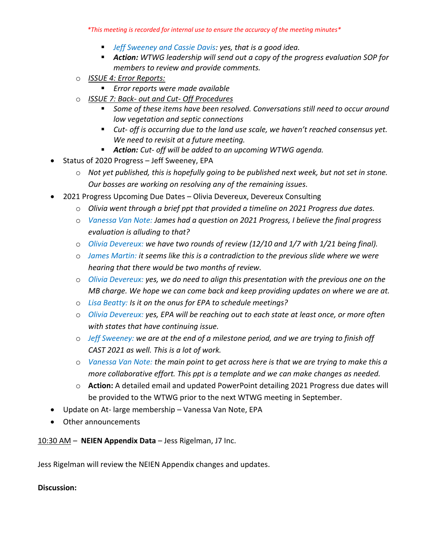*\*This meeting is recorded for internal use to ensure the accuracy of the meeting minutes\**

- Jeff Sweeney and Cassie Davis: yes, that is a good idea.
- *Action: WTWG leadership will send out a copy of the progress evaluation SOP for members to review and provide comments.*
- o *ISSUE 4: Error Reports:*
	- *Error reports were made available*
- o *ISSUE 7: Back- out and Cut- Off Procedures*
	- Some of these items have been resolved. Conversations still need to occur around *low vegetation and septic connections*
	- Cut- off is occurring due to the land use scale, we haven't reached consensus yet. *We need to revisit at a future meeting.*
	- *Action: Cut- off will be added to an upcoming WTWG agenda.*
- Status of 2020 Progress Jeff Sweeney, EPA
	- o *Not yet published, this is hopefully going to be published next week, but not set in stone. Our bosses are working on resolving any of the remaining issues.*
- 2021 Progress Upcoming Due Dates Olivia Devereux, Devereux Consulting
	- o *Olivia went through a brief ppt that provided a timeline on 2021 Progress due dates.*
	- o *Vanessa Van Note: James had a question on 2021 Progress, I believe the final progress evaluation is alluding to that?*
	- o *Olivia Devereux: we have two rounds of review (12/10 and 1/7 with 1/21 being final).*
	- o *James Martin: it seems like this is a contradiction to the previous slide where we were hearing that there would be two months of review.*
	- o *Olivia Devereux: yes, we do need to align this presentation with the previous one on the MB charge. We hope we can come back and keep providing updates on where we are at.*
	- o *Lisa Beatty: Is it on the onus for EPA to schedule meetings?*
	- o *Olivia Devereux: yes, EPA will be reaching out to each state at least once, or more often with states that have continuing issue.*
	- o *Jeff Sweeney: we are at the end of a milestone period, and we are trying to finish off CAST 2021 as well. This is a lot of work.*
	- o *Vanessa Van Note: the main point to get across here is that we are trying to make this a more collaborative effort. This ppt is a template and we can make changes as needed.*
	- o **Action:** A detailed email and updated PowerPoint detailing 2021 Progress due dates will be provided to the WTWG prior to the next WTWG meeting in September.
- Update on At- large membership Vanessa Van Note, EPA
- Other announcements

10:30 AM – **NEIEN Appendix Data** – Jess Rigelman, J7 Inc.

Jess Rigelman will review the NEIEN Appendix changes and updates.

#### **Discussion:**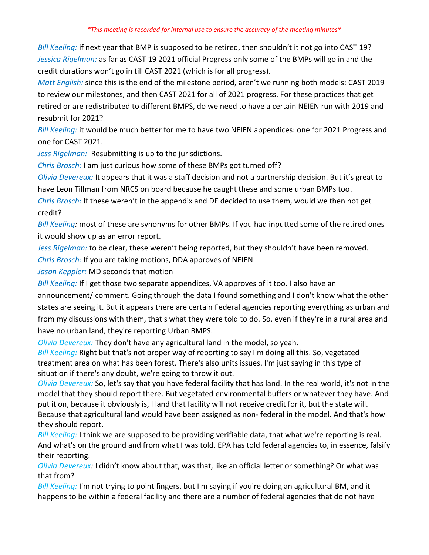*Bill Keeling:* if next year that BMP is supposed to be retired, then shouldn't it not go into CAST 19? *Jessica Rigelman:* as far as CAST 19 2021 official Progress only some of the BMPs will go in and the credit durations won't go in till CAST 2021 (which is for all progress).

*Matt English:* since this is the end of the milestone period, aren't we running both models: CAST 2019 to review our milestones, and then CAST 2021 for all of 2021 progress. For these practices that get retired or are redistributed to different BMPS, do we need to have a certain NEIEN run with 2019 and resubmit for 2021?

*Bill Keeling:* it would be much better for me to have two NEIEN appendices: one for 2021 Progress and one for CAST 2021.

*Jess Rigelman:* Resubmitting is up to the jurisdictions.

*Chris Brosch:* I am just curious how some of these BMPs got turned off?

*Olivia Devereux:* It appears that it was a staff decision and not a partnership decision. But it's great to have Leon Tillman from NRCS on board because he caught these and some urban BMPs too.

*Chris Brosch:* If these weren't in the appendix and DE decided to use them, would we then not get credit?

*Bill Keeling:* most of these are synonyms for other BMPs. If you had inputted some of the retired ones it would show up as an error report.

*Jess Rigelman:* to be clear, these weren't being reported, but they shouldn't have been removed.

*Chris Brosch:* If you are taking motions, DDA approves of NEIEN

*Jason Keppler:* MD seconds that motion

*Bill Keeling:* If I get those two separate appendices, VA approves of it too. I also have an announcement/ comment. Going through the data I found something and I don't know what the other states are seeing it. But it appears there are certain Federal agencies reporting everything as urban and from my discussions with them, that's what they were told to do. So, even if they're in a rural area and have no urban land, they're reporting Urban BMPS.

*Olivia Devereux:* They don't have any agricultural land in the model, so yeah.

*Bill Keeling:* Right but that's not proper way of reporting to say I'm doing all this. So, vegetated treatment area on what has been forest. There's also units issues. I'm just saying in this type of situation if there's any doubt, we're going to throw it out.

*Olivia Devereux:* So, let's say that you have federal facility that has land. In the real world, it's not in the model that they should report there. But vegetated environmental buffers or whatever they have. And put it on, because it obviously is, I land that facility will not receive credit for it, but the state will. Because that agricultural land would have been assigned as non- federal in the model. And that's how they should report.

*Bill Keeling:* I think we are supposed to be providing verifiable data, that what we're reporting is real. And what's on the ground and from what I was told, EPA has told federal agencies to, in essence, falsify their reporting.

*Olivia Devereux:* I didn't know about that, was that, like an official letter or something? Or what was that from?

*Bill Keeling:* I'm not trying to point fingers, but I'm saying if you're doing an agricultural BM, and it happens to be within a federal facility and there are a number of federal agencies that do not have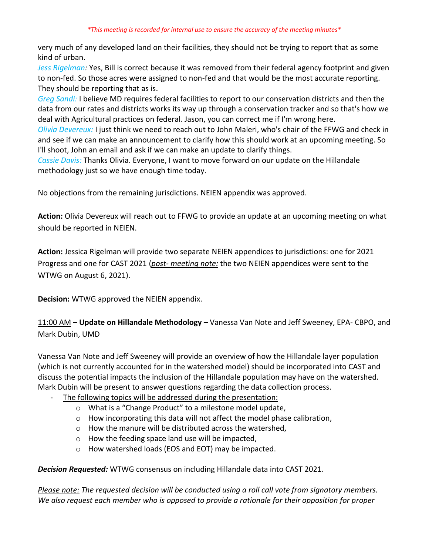very much of any developed land on their facilities, they should not be trying to report that as some kind of urban.

*Jess Rigelman:* Yes, Bill is correct because it was removed from their federal agency footprint and given to non-fed. So those acres were assigned to non-fed and that would be the most accurate reporting. They should be reporting that as is.

*Greg Sandi:* I believe MD requires federal facilities to report to our conservation districts and then the data from our rates and districts works its way up through a conservation tracker and so that's how we deal with Agricultural practices on federal. Jason, you can correct me if I'm wrong here.

*Olivia Devereux:* I just think we need to reach out to John Maleri, who's chair of the FFWG and check in and see if we can make an announcement to clarify how this should work at an upcoming meeting. So I'll shoot, John an email and ask if we can make an update to clarify things.

*Cassie Davis:* Thanks Olivia. Everyone, I want to move forward on our update on the Hillandale methodology just so we have enough time today.

No objections from the remaining jurisdictions. NEIEN appendix was approved.

**Action:** Olivia Devereux will reach out to FFWG to provide an update at an upcoming meeting on what should be reported in NEIEN.

**Action:** Jessica Rigelman will provide two separate NEIEN appendices to jurisdictions: one for 2021 Progress and one for CAST 2021 (*post- meeting note:* the two NEIEN appendices were sent to the WTWG on August 6, 2021).

**Decision:** WTWG approved the NEIEN appendix.

11:00 AM **– Update on Hillandale Methodology –** Vanessa Van Note and Jeff Sweeney, EPA- CBPO, and Mark Dubin, UMD

Vanessa Van Note and Jeff Sweeney will provide an overview of how the Hillandale layer population (which is not currently accounted for in the watershed model) should be incorporated into CAST and discuss the potential impacts the inclusion of the Hillandale population may have on the watershed. Mark Dubin will be present to answer questions regarding the data collection process.

- The following topics will be addressed during the presentation:
	- o What is a "Change Product" to a milestone model update,
	- o How incorporating this data will not affect the model phase calibration,
	- o How the manure will be distributed across the watershed,
	- o How the feeding space land use will be impacted,
	- o How watershed loads (EOS and EOT) may be impacted.

*Decision Requested:* WTWG consensus on including Hillandale data into CAST 2021.

*Please note: The requested decision will be conducted using a roll call vote from signatory members. We also request each member who is opposed to provide a rationale for their opposition for proper*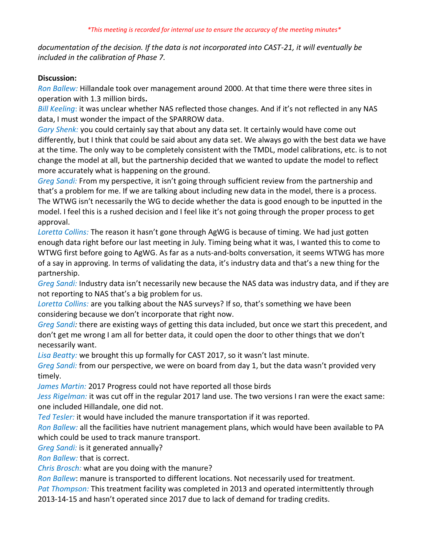*documentation of the decision. If the data is not incorporated into CAST-21, it will eventually be included in the calibration of Phase 7.*

### **Discussion:**

*Ron Ballew:* Hillandale took over management around 2000. At that time there were three sites in operation with 1.3 million birds**.** 

*Bill Keeling*: it was unclear whether NAS reflected those changes. And if it's not reflected in any NAS data, I must wonder the impact of the SPARROW data.

*Gary Shenk:* you could certainly say that about any data set. It certainly would have come out differently, but I think that could be said about any data set. We always go with the best data we have at the time. The only way to be completely consistent with the TMDL, model calibrations, etc. is to not change the model at all, but the partnership decided that we wanted to update the model to reflect more accurately what is happening on the ground.

*Greg Sandi:* From my perspective, it isn't going through sufficient review from the partnership and that's a problem for me. If we are talking about including new data in the model, there is a process. The WTWG isn't necessarily the WG to decide whether the data is good enough to be inputted in the model. I feel this is a rushed decision and I feel like it's not going through the proper process to get approval.

*Loretta Collins:* The reason it hasn't gone through AgWG is because of timing. We had just gotten enough data right before our last meeting in July. Timing being what it was, I wanted this to come to WTWG first before going to AgWG. As far as a nuts-and-bolts conversation, it seems WTWG has more of a say in approving. In terms of validating the data, it's industry data and that's a new thing for the partnership.

*Greg Sandi:* Industry data isn't necessarily new because the NAS data was industry data, and if they are not reporting to NAS that's a big problem for us.

*Loretta Collins:* are you talking about the NAS surveys? If so, that's something we have been considering because we don't incorporate that right now.

*Greg Sandi:* there are existing ways of getting this data included, but once we start this precedent, and don't get me wrong I am all for better data, it could open the door to other things that we don't necessarily want.

*Lisa Beatty:* we brought this up formally for CAST 2017, so it wasn't last minute.

*Greg Sandi:* from our perspective, we were on board from day 1, but the data wasn't provided very timely.

*James Martin:* 2017 Progress could not have reported all those birds

*Jess Rigelman:* it was cut off in the regular 2017 land use. The two versions I ran were the exact same: one included Hillandale, one did not.

*Ted Tesler:* it would have included the manure transportation if it was reported.

*Ron Ballew:* all the facilities have nutrient management plans, which would have been available to PA which could be used to track manure transport.

*Greg Sandi:* is it generated annually?

*Ron Ballew:* that is correct.

*Chris Brosch:* what are you doing with the manure?

*Ron Ballew*: manure is transported to different locations. Not necessarily used for treatment.

*Pat Thompson:* This treatment facility was completed in 2013 and operated intermittently through

2013-14-15 and hasn't operated since 2017 due to lack of demand for trading credits.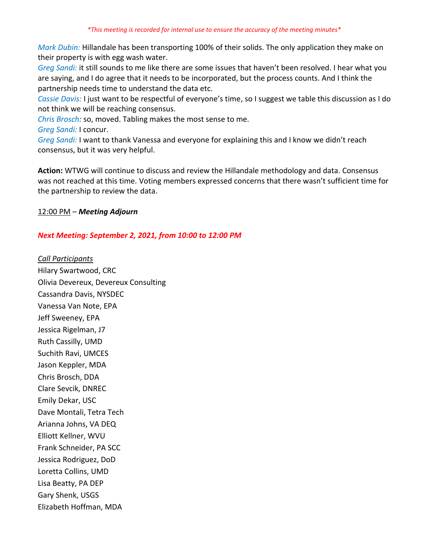*Mark Dubin:* Hillandale has been transporting 100% of their solids. The only application they make on their property is with egg wash water.

*Greg Sandi:* it still sounds to me like there are some issues that haven't been resolved. I hear what you are saying, and I do agree that it needs to be incorporated, but the process counts. And I think the partnership needs time to understand the data etc.

*Cassie Davis:* I just want to be respectful of everyone's time, so I suggest we table this discussion as I do not think we will be reaching consensus.

*Chris Brosch:* so, moved. Tabling makes the most sense to me.

*Greg Sandi:* I concur.

*Greg Sandi:* I want to thank Vanessa and everyone for explaining this and I know we didn't reach consensus, but it was very helpful.

**Action:** WTWG will continue to discuss and review the Hillandale methodology and data. Consensus was not reached at this time. Voting members expressed concerns that there wasn't sufficient time for the partnership to review the data.

## 12:00 PM – *Meeting Adjourn*

# *Next Meeting: September 2, 2021, from 10:00 to 12:00 PM*

*Call Participants* Hilary Swartwood, CRC Olivia Devereux, Devereux Consulting Cassandra Davis, NYSDEC Vanessa Van Note, EPA Jeff Sweeney, EPA Jessica Rigelman, J7 Ruth Cassilly, UMD Suchith Ravi, UMCES Jason Keppler, MDA Chris Brosch, DDA Clare Sevcik, DNREC Emily Dekar, USC Dave Montali, Tetra Tech Arianna Johns, VA DEQ Elliott Kellner, WVU Frank Schneider, PA SCC Jessica Rodriguez, DoD Loretta Collins, UMD Lisa Beatty, PA DEP Gary Shenk, USGS Elizabeth Hoffman, MDA